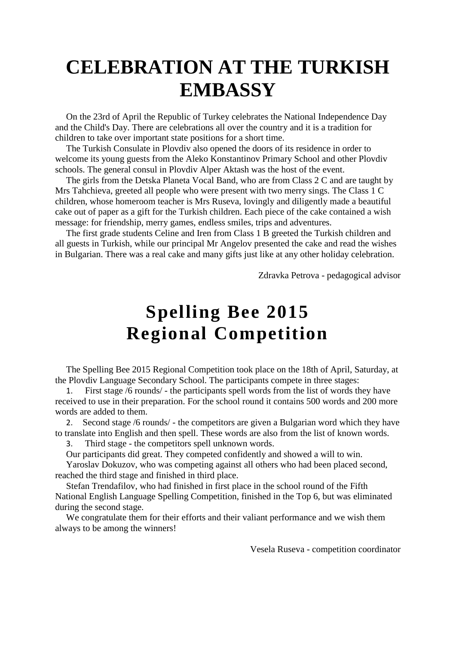## **CELEBRATION AT THE TURKISH EMBASSY**

On the 23rd of April the Republic of Turkey celebrates the National Independence Day and the Child's Day. There are celebrations all over the country and it is a tradition for children to take over important state positions for a short time.

The Turkish Consulate in Plovdiv also opened the doors of its residence in order to welcome its young guests from the Aleko Konstantinov Primary School and other Plovdiv schools. The general consul in Plovdiv Alper Aktash was the host of the event.

The girls from the Detska Planeta Vocal Band, who are from Class 2 C and are taught by Mrs Tahchieva, greeted all people who were present with two merry sings. The Class 1 C children, whose homeroom teacher is Mrs Ruseva, lovingly and diligently made a beautiful cake out of paper as a gift for the Turkish children. Each piece of the cake contained a wish message: for friendship, merry games, endless smiles, trips and adventures.

The first grade students Celine and Iren from Class 1 B greeted the Turkish children and all guests in Turkish, while our principal Mr Angelov presented the cake and read the wishes in Bulgarian. There was a real cake and many gifts just like at any other holiday celebration.

Zdravka Petrova - pedagogical advisor

## **Spelling Bee 2015 Regional Competition**

The Spelling Bee 2015 Regional Competition took place on the 18th of April, Saturday, at the Plovdiv Language Secondary School. The participants compete in three stages:

First stage /6 rounds/ - the participants spell words from the list of words they have received to use in their preparation. For the school round it contains 500 words and 200 more words are added to them.

2. Second stage /6 rounds/ - the competitors are given a Bulgarian word which they have to translate into English and then spell. These words are also from the list of known words.

3. Third stage - the competitors spell unknown words.

Our participants did great. They competed confidently and showed a will to win.

Yaroslav Dokuzov, who was competing against all others who had been placed second, reached the third stage and finished in third place.

Stefan Trendafilov, who had finished in first place in the school round of the Fifth National English Language Spelling Competition, finished in the Top 6, but was eliminated during the second stage.

We congratulate them for their efforts and their valiant performance and we wish them always to be among the winners!

Vesela Ruseva - competition coordinator